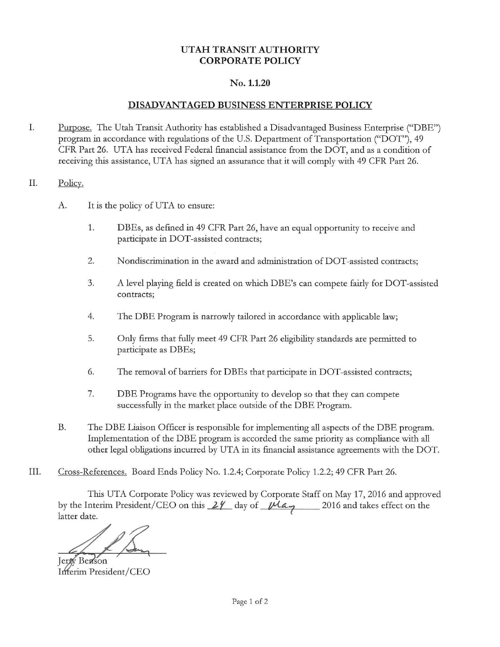## **UTAH TRANSIT AUTHORITY CORPORATE POLICY**

## **No.1.1.20**

## **DISADVANTAGED BUSINESS ENTERPRISE POLICY**

- I. Purpose. The Utah Transit Authority has established a Disadvantaged Business Enterprise ("DBE") program in accordance with regulations of the U.S. Department of Transportation ("DOT"), 49 CFR Part 26. UTA has received Federal financial assistance from the DOT, and as a condition of receiving this assistance, UTA has signed an assurance that it will comply with 49 CFR Part 26.
- II. Policy.
	- A. It is the policy of UTA to ensure:
		- 1. DBEs, as defined in 49 CFR Part 26, have an equal opportunity to receive and participate in DOT-assisted contracts;
		- 2. Nondiscrimination in the award and administration of DOT-assisted contracts;
		- 3. A level playing field is created on which DBE's can compete fairly for DOT-assisted contracts;
		- 4. The DBE Program is narrowly tailored in accordance with applicable law;
		- 5. Only firms that fully meet 49 CFR Part 26 eligibility standards are permitted to participate as DBEs;
		- 6. The removal of barriers for DBEs that participate in DOT-assisted contracts;
		- 7. DBE Programs have the opportunity to develop so that they can compete successfully in the market place outside of the DBE Program.
	- B. The DBE Liaison Officer is responsible for implementing all aspects of the DBE program. Implementation of the DBE program is accorded the same priority as compliance with all other legal obligations incurred by UTA in its financial assistance agreements with the DOT.
- III. Cross-References. Board Ends Policy No. 1.2.4; Corporate Policy 1.2.2; 49 CFR Part 26.

This UTA Corporate Policy was reviewed by Corporate Staff on May 17, 2016 and approved by the Interim President/CEO on this  $24$  day of  $1/4a$ . 2016 and takes effect on the latter date.

**Jerfy Benson** Inferim President/CEO